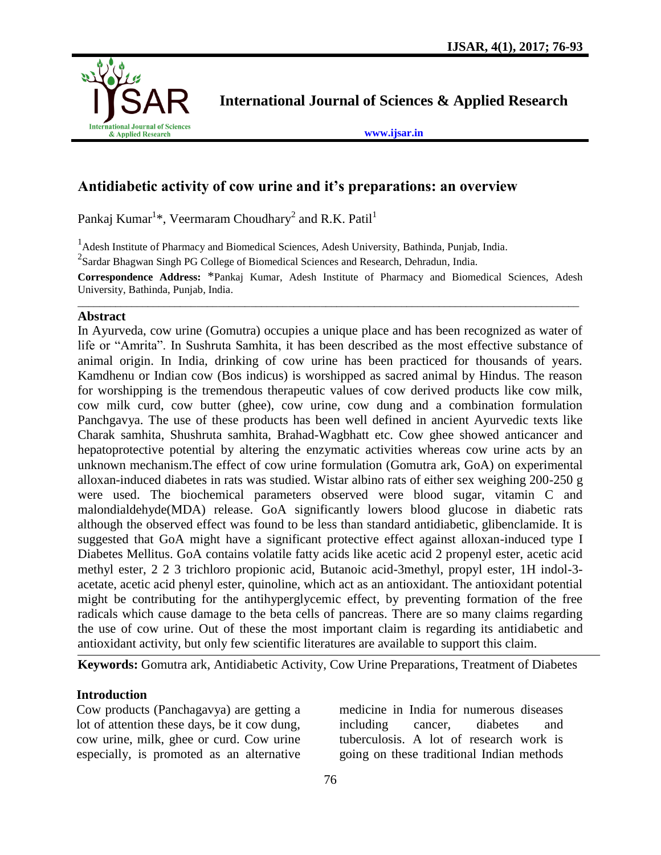

**International Journal of Sciences & Applied Research**

**[www.ijsar.in](http://www.ijsar.in/)**

# **Antidiabetic activity of cow urine and it's preparations: an overview**

Pankaj Kumar<sup>1\*</sup>, Veermaram Choudhary<sup>2</sup> and R.K. Patil<sup>1</sup>

<sup>1</sup> Adesh Institute of Pharmacy and Biomedical Sciences, Adesh University, Bathinda, Punjab, India.

 $2$ Sardar Bhagwan Singh PG College of Biomedical Sciences and Research, Dehradun, India.

**Correspondence Address:** \*Pankaj Kumar, Adesh Institute of Pharmacy and Biomedical Sciences, Adesh University, Bathinda, Punjab, India. \_\_\_\_\_\_\_\_\_\_\_\_\_\_\_\_\_\_\_\_\_\_\_\_\_\_\_\_\_\_\_\_\_\_\_\_\_\_\_\_\_\_\_\_\_\_\_\_\_\_\_\_\_\_\_\_\_\_\_\_\_\_\_\_\_\_\_\_\_\_\_\_\_\_\_\_\_\_\_\_\_\_\_\_\_\_\_\_\_\_\_\_\_

#### **Abstract**

In Ayurveda, cow urine (Gomutra) occupies a unique place and has been recognized as water of life or "Amrita". In Sushruta Samhita, it has been described as the most effective substance of animal origin. In India, drinking of cow urine has been practiced for thousands of years. Kamdhenu or Indian cow (Bos indicus) is worshipped as sacred animal by Hindus. The reason for worshipping is the tremendous therapeutic values of cow derived products like cow milk, cow milk curd, cow butter (ghee), cow urine, cow dung and a combination formulation Panchgavya. The use of these products has been well defined in ancient Ayurvedic texts like Charak samhita, Shushruta samhita, Brahad-Wagbhatt etc. Cow ghee showed anticancer and hepatoprotective potential by altering the enzymatic activities whereas cow urine acts by an unknown mechanism.The effect of cow urine formulation (Gomutra ark, GoA) on experimental alloxan-induced diabetes in rats was studied. Wistar albino rats of either sex weighing 200-250 g were used. The biochemical parameters observed were blood sugar, vitamin C and malondialdehyde(MDA) release. GoA significantly lowers blood glucose in diabetic rats although the observed effect was found to be less than standard antidiabetic, glibenclamide. It is suggested that GoA might have a significant protective effect against alloxan-induced type I Diabetes Mellitus. GoA contains volatile fatty acids like acetic acid 2 propenyl ester, acetic acid methyl ester, 2 2 3 trichloro propionic acid, Butanoic acid-3methyl, propyl ester, 1H indol-3 acetate, acetic acid phenyl ester, quinoline, which act as an antioxidant. The antioxidant potential might be contributing for the antihyperglycemic effect, by preventing formation of the free radicals which cause damage to the beta cells of pancreas. There are so many claims regarding the use of cow urine. Out of these the most important claim is regarding its antidiabetic and antioxidant activity, but only few scientific literatures are available to support this claim.

**Keywords:** Gomutra ark, Antidiabetic Activity, Cow Urine Preparations, Treatment of Diabetes

### **Introduction**

Cow products (Panchagavya) are getting a lot of attention these days, be it cow dung, cow urine, milk, ghee or curd. Cow urine especially, is promoted as an alternative

medicine in India for numerous diseases including cancer, diabetes and tuberculosis. A lot of research work is going on these traditional Indian methods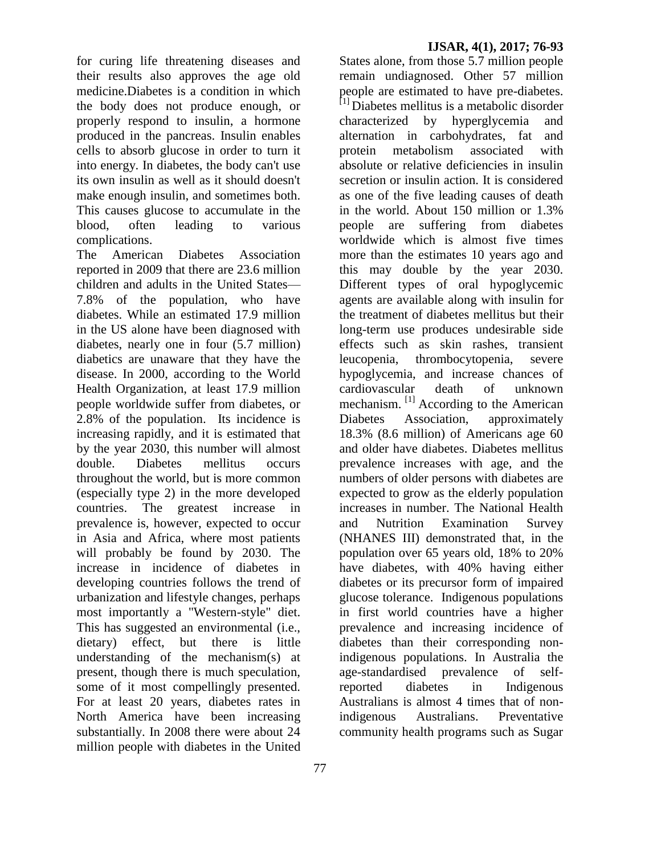for curing life threatening diseases and their results also approves the age old medicine.Diabetes is a condition in which the body does not produce enough, or properly respond to insulin, a hormone produced in the pancreas. Insulin enables cells to absorb glucose in order to turn it into energy. In diabetes, the body can't use its own insulin as well as it should doesn't make enough insulin, and sometimes both. This causes glucose to accumulate in the blood, often leading to various complications.

The American Diabetes Association reported in 2009 that there are 23.6 million children and adults in the United States— 7.8% of the population, who have diabetes. While an estimated 17.9 million in the US alone have been diagnosed with diabetes, nearly one in four (5.7 million) diabetics are unaware that they have the disease. In 2000, according to the World Health Organization, at least 17.9 million people worldwide suffer from diabetes, or 2.8% of the population. Its incidence is increasing rapidly, and it is estimated that by the year 2030, this number will almost double. Diabetes mellitus occurs throughout the world, but is more common (especially type 2) in the more developed countries. The greatest increase in prevalence is, however, expected to occur in Asia and Africa, where most patients will probably be found by 2030. The increase in incidence of diabetes in developing countries follows the trend of urbanization and lifestyle changes, perhaps most importantly a "Western-style" diet. This has suggested an environmental (i.e., dietary) effect, but there is little understanding of the mechanism(s) at present, though there is much speculation, some of it most compellingly presented. For at least 20 years, diabetes rates in North America have been increasing substantially. In 2008 there were about 24 million people with diabetes in the United

#### **IJSAR, 4(1), 2017; 76-93**

States alone, from those 5.7 million people remain undiagnosed. Other 57 million people are estimated to have pre-diabetes.  $[1]$  Diabetes mellitus is a metabolic disorder characterized by hyperglycemia and alternation in carbohydrates, fat and protein metabolism associated with absolute or relative deficiencies in insulin secretion or insulin action. It is considered as one of the five leading causes of death in the world. About 150 million or 1.3% people are suffering from diabetes worldwide which is almost five times more than the estimates 10 years ago and this may double by the year 2030. Different types of oral hypoglycemic agents are available along with insulin for the treatment of diabetes mellitus but their long-term use produces undesirable side effects such as skin rashes, transient leucopenia, thrombocytopenia, severe hypoglycemia, and increase chances of cardiovascular death of unknown mechanism.<sup>[1]</sup> According to the American Diabetes Association, approximately 18.3% (8.6 million) of Americans age 60 and older have diabetes. Diabetes mellitus prevalence increases with age, and the numbers of older persons with diabetes are expected to grow as the elderly population increases in number. The National Health and Nutrition Examination Survey (NHANES III) demonstrated that, in the population over 65 years old, 18% to 20% have diabetes, with 40% having either diabetes or its precursor form of impaired glucose tolerance. Indigenous populations in first world countries have a higher prevalence and increasing incidence of diabetes than their corresponding nonindigenous populations. In Australia the age-standardised prevalence of selfreported diabetes in Indigenous Australians is almost 4 times that of nonindigenous Australians. Preventative community health programs such as Sugar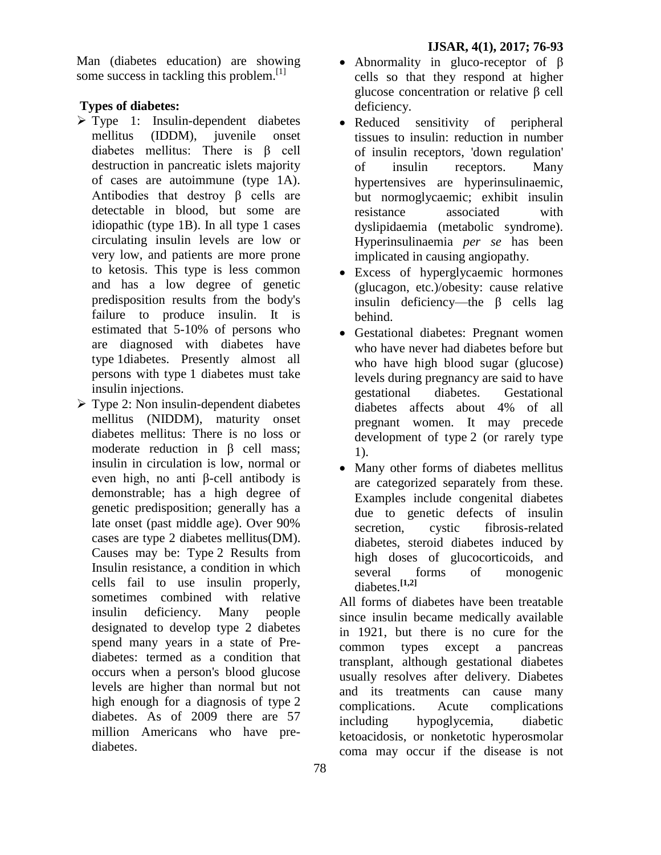Man (diabetes education) are showing some success in tackling this problem. $[1]$ 

## **Types of diabetes:**

- $\triangleright$  Type 1: Insulin-dependent diabetes mellitus (IDDM), juvenile onset diabetes mellitus: There is β cell destruction in pancreatic islets majority of cases are autoimmune (type 1A). Antibodies that destroy β cells are detectable in blood, but some are idiopathic (type 1B). In all type 1 cases circulating insulin levels are low or very low, and patients are more prone to ketosis. This type is less common and has a low degree of genetic predisposition results from the body's failure to produce insulin. It is estimated that 5-10% of persons who are diagnosed with diabetes have type 1diabetes. Presently almost all persons with type 1 diabetes must take insulin injections.
- $\triangleright$  Type 2: Non insulin-dependent diabetes mellitus (NIDDM), maturity onset diabetes mellitus: There is no loss or moderate reduction in β cell mass; insulin in circulation is low, normal or even high, no anti β-cell antibody is demonstrable; has a high degree of genetic predisposition; generally has a late onset (past middle age). Over 90% cases are type 2 diabetes mellitus(DM). Causes may be: Type 2 Results from Insulin resistance, a condition in which cells fail to use insulin properly, sometimes combined with relative insulin deficiency. Many people designated to develop type 2 diabetes spend many years in a state of Prediabetes: termed as a condition that occurs when a person's blood glucose levels are higher than normal but not high enough for a diagnosis of type 2 diabetes. As of 2009 there are 57 million Americans who have prediabetes.
- Abnormality in gluco-receptor of β cells so that they respond at higher glucose concentration or relative β cell deficiency.
- Reduced sensitivity of peripheral tissues to insulin: reduction in number of insulin receptors, 'down regulation' of insulin receptors. Many hypertensives are hyperinsulinaemic, but normoglycaemic; exhibit insulin resistance associated with dyslipidaemia (metabolic syndrome). Hyperinsulinaemia *per se* has been implicated in causing angiopathy.
- Excess of hyperglycaemic hormones (glucagon, etc.)/obesity: cause relative insulin deficiency—the β cells lag behind.
- Gestational diabetes: Pregnant women who have never had diabetes before but who have high blood sugar (glucose) levels during pregnancy are said to have gestational diabetes. Gestational diabetes affects about 4% of all pregnant women. It may precede development of type 2 (or rarely type 1).
- Many other forms of diabetes mellitus are categorized separately from these. Examples include congenital diabetes due to genetic defects of insulin secretion, cystic fibrosis-related diabetes, steroid diabetes induced by high doses of glucocorticoids, and several forms of monogenic diabetes.**[1,2]**

All forms of diabetes have been treatable since insulin became medically available in 1921, but there is no cure for the common types except a pancreas transplant, although gestational diabetes usually resolves after delivery. Diabetes and its treatments can cause many complications. Acute complications including hypoglycemia, diabetic ketoacidosis, or [nonketotic hyperosmolar](http://en.wikipedia.org/wiki/Nonketotic_hyperosmolar_coma)  [coma](http://en.wikipedia.org/wiki/Nonketotic_hyperosmolar_coma) may occur if the disease is not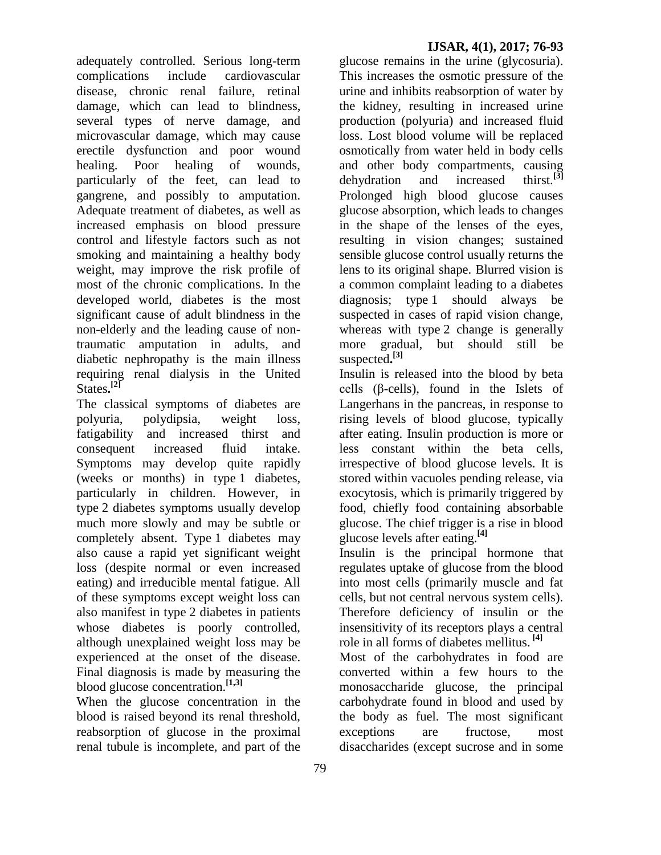adequately controlled. Serious long-term complications include cardiovascular disease, chronic renal failure, retinal damage, which can lead to blindness, several types of nerve damage, and microvascular damage, which may cause erectile dysfunction and poor wound healing. Poor healing of wounds, particularly of the feet, can lead to gangrene, and possibly to amputation. Adequate treatment of diabetes, as well as increased emphasis on blood pressure control and lifestyle factors such as not smoking and maintaining a healthy body weight, may improve the risk profile of most of the chronic complications. In the developed world, diabetes is the most significant cause of adult blindness in the non-elderly and the leading cause of nontraumatic amputation in adults, and diabetic nephropathy is the main illness requiring renal dialysis in the United States**. [2]**

The classical symptoms of diabetes are [polyuria,](http://en.wikipedia.org/wiki/Polyuria) [polydipsia,](http://en.wikipedia.org/wiki/Polydipsia) weight loss, fatigability and increased thirst and consequent increased fluid intake. Symptoms may develop quite rapidly (weeks or months) in type 1 diabetes, particularly in children. However, in type 2 diabetes symptoms usually develop much more slowly and may be subtle or completely absent. Type 1 diabetes may also cause a rapid yet significant weight loss (despite normal or even increased eating) and irreducible mental fatigue. All of these symptoms except weight loss can also manifest in type 2 diabetes in patients whose diabetes is poorly controlled, although unexplained weight loss may be experienced at the onset of the disease. Final diagnosis is made by measuring the blood glucose concentration.**[1,3]**

When the glucose concentration in the blood is raised beyond its renal threshold, [reabsorption](http://en.wikipedia.org/wiki/Reabsorption) of glucose in the [proximal](http://en.wikipedia.org/wiki/Proximal_tubule)  [renal tubule](http://en.wikipedia.org/wiki/Proximal_tubule) is incomplete, and part of the

glucose remains in the [urine](http://en.wikipedia.org/wiki/Urine) [\(glycosuria\)](http://en.wikipedia.org/wiki/Glycosuria). This increases the osmotic pressure of the urine and inhibits reabsorption of water by the kidney, resulting in increased urine production [\(polyuria\)](http://en.wikipedia.org/wiki/Polyuria) and increased fluid loss. Lost blood volume will be replaced osmotically from water held in body cells and other body compartments, causing<br>dehydration and increased thirst.<sup>[3]</sup> dehydration and increased Prolonged high blood glucose causes glucose absorption, which leads to changes in the shape of the lenses of the eyes, resulting in vision changes; sustained sensible glucose control usually returns the lens to its original shape. Blurred vision is a common complaint leading to a diabetes diagnosis; type 1 should always be suspected in cases of rapid vision change, whereas with type 2 change is generally more gradual, but should still be suspected**. [3]**

Insulin is released into the blood by beta cells  $(\beta$ -cells), found in the Islets of Langerhans in the pancreas, in response to rising levels of blood glucose, typically after eating. Insulin production is more or less constant within the beta cells, irrespective of blood glucose levels. It is stored within vacuoles pending release, via exocytosis, which is primarily triggered by food, chiefly food containing absorbable glucose. The chief trigger is a rise in blood glucose levels after eating.**[4]**

Insulin is the principal hormone that regulates uptake of glucose from the blood into most cells (primarily muscle and fat cells, but not central nervous system cells). Therefore deficiency of insulin or the insensitivity of its receptors plays a central role in all forms of diabetes mellitus. **[4]**

Most of the carbohydrates in food are converted within a few hours to the monosaccharide glucose, the principal carbohydrate found in blood and used by the body as fuel. The most significant exceptions are fructose, most disaccharides (except sucrose and in some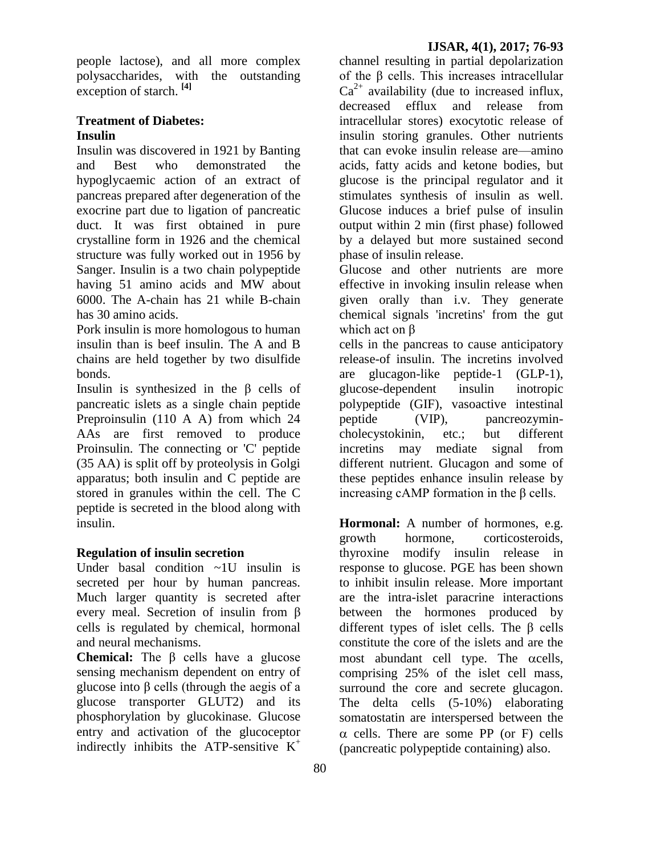people lactose), and all more complex polysaccharides, with the outstanding exception of starch. **[4]**

### **Treatment of Diabetes: Insulin**

Insulin was discovered in 1921 by Banting and Best who demonstrated the hypoglycaemic action of an extract of pancreas prepared after degeneration of the exocrine part due to ligation of pancreatic duct. It was first obtained in pure crystalline form in 1926 and the chemical structure was fully worked out in 1956 by Sanger. Insulin is a two chain polypeptide having 51 amino acids and MW about 6000. The A-chain has 21 while B-chain has 30 amino acids.

Pork insulin is more homologous to human insulin than is beef insulin. The A and B chains are held together by two disulfide bonds.

Insulin is synthesized in the β cells of pancreatic islets as a single chain peptide Preproinsulin (110 A A) from which 24 AAs are first removed to produce Proinsulin. The connecting or 'C' peptide (35 AA) is split off by proteolysis in Golgi apparatus; both insulin and C peptide are stored in granules within the cell. The C peptide is secreted in the blood along with insulin.

### **Regulation of insulin secretion**

Under basal condition ~1U insulin is secreted per hour by human pancreas. Much larger quantity is secreted after every meal. Secretion of insulin from β cells is regulated by chemical, hormonal and neural mechanisms.

**Chemical:** The β cells have a glucose sensing mechanism dependent on entry of glucose into β cells (through the aegis of a glucose transporter GLUT2) and its phosphorylation by glucokinase. Glucose entry and activation of the glucoceptor indirectly inhibits the ATP-sensitive  $K^+$ 

channel resulting in partial depolarization of the β cells. This increases intracellular  $Ca^{2+}$  availability (due to increased influx, decreased efflux and release from intracellular stores) exocytotic release of insulin storing granules. Other nutrients that can evoke insulin release are—amino acids, fatty acids and ketone bodies, but glucose is the principal regulator and it stimulates synthesis of insulin as well. Glucose induces a brief pulse of insulin output within 2 min (first phase) followed by a delayed but more sustained second phase of insulin release.

Glucose and other nutrients are more effective in invoking insulin release when given orally than i.v. They generate chemical signals 'incretins' from the gut which act on β

cells in the pancreas to cause anticipatory release-of insulin. The incretins involved are glucagon-like peptide-1 (GLP-1), glucose-dependent insulin inotropic polypeptide (GIF), vasoactive intestinal peptide (VIP), pancreozymincholecystokinin, etc.; but different incretins may mediate signal from different nutrient. Glucagon and some of these peptides enhance insulin release by increasing cAMP formation in the β cells.

**Hormonal:** A number of hormones, e.g. growth hormone, corticosteroids, thyroxine modify insulin release in response to glucose. PGE has been shown to inhibit insulin release. More important are the intra-islet paracrine interactions between the hormones produced by different types of islet cells. The β cells constitute the core of the islets and are the most abundant cell type. The  $\alpha$  cells, comprising 25% of the islet cell mass, surround the core and secrete glucagon. The delta cells (5-10%) elaborating somatostatin are interspersed between the  $\alpha$  cells. There are some PP (or F) cells (pancreatic polypeptide containing) also.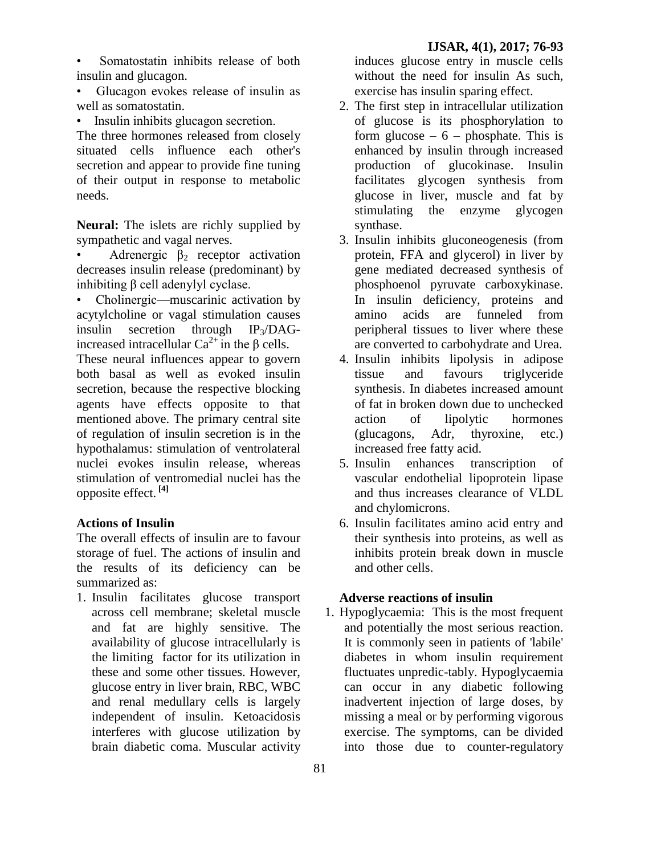Somatostatin inhibits release of both insulin and glucagon.

• Glucagon evokes release of insulin as well as somatostatin.

• Insulin inhibits glucagon secretion.

The three hormones released from closely situated cells influence each other's secretion and appear to provide fine tuning of their output in response to metabolic needs.

**Neural:** The islets are richly supplied by sympathetic and vagal nerves.

Adrenergic  $\beta_2$  receptor activation decreases insulin release (predominant) by inhibiting β cell adenylyl cyclase.

• Cholinergic—muscarinic activation by acytylcholine or vagal stimulation causes insulin secretion through  $IP_3/DAG$ increased intracellular  $Ca^{2+}$  in the β cells.

These neural influences appear to govern both basal as well as evoked insulin secretion, because the respective blocking agents have effects opposite to that mentioned above. The primary central site of regulation of insulin secretion is in the hypothalamus: stimulation of ventrolateral nuclei evokes insulin release, whereas stimulation of ventromedial nuclei has the opposite effect. **[4]**

## **Actions of Insulin**

The overall effects of insulin are to favour storage of fuel. The actions of insulin and the results of its deficiency can be summarized as:

1. Insulin facilitates glucose transport across cell membrane; skeletal muscle and fat are highly sensitive. The availability of glucose intracellularly is the limiting factor for its utilization in these and some other tissues. However, glucose entry in liver brain, RBC, WBC and renal medullary cells is largely independent of insulin. Ketoacidosis interferes with glucose utilization by brain diabetic coma. Muscular activity

induces glucose entry in muscle cells without the need for insulin As such, exercise has insulin sparing effect.

- 2. The first step in intracellular utilization of glucose is its phosphorylation to form glucose  $-6$  – phosphate. This is enhanced by insulin through increased production of glucokinase. Insulin facilitates glycogen synthesis from glucose in liver, muscle and fat by stimulating the enzyme glycogen synthase.
- 3. Insulin inhibits gluconeogenesis (from protein, FFA and glycerol) in liver by gene mediated decreased synthesis of phosphoenol pyruvate carboxykinase. In insulin deficiency, proteins and amino acids are funneled from peripheral tissues to liver where these are converted to carbohydrate and Urea.
- 4. Insulin inhibits lipolysis in adipose tissue and favours triglyceride synthesis. In diabetes increased amount of fat in broken down due to unchecked action of lipolytic hormones (glucagons, Adr, thyroxine, etc.) increased free fatty acid.
- 5. Insulin enhances transcription of vascular endothelial lipoprotein lipase and thus increases clearance of VLDL and chylomicrons.
- 6. Insulin facilitates amino acid entry and their synthesis into proteins, as well as inhibits protein break down in muscle and other cells.

## **Adverse reactions of insulin**

1. Hypoglycaemia:This is the most frequent and potentially the most serious reaction. It is commonly seen in patients of 'labile' diabetes in whom insulin requirement fluctuates unpredic-tably. Hypoglycaemia can occur in any diabetic following inadvertent injection of large doses, by missing a meal or by performing vigorous exercise. The symptoms, can be divided into those due to counter-regulatory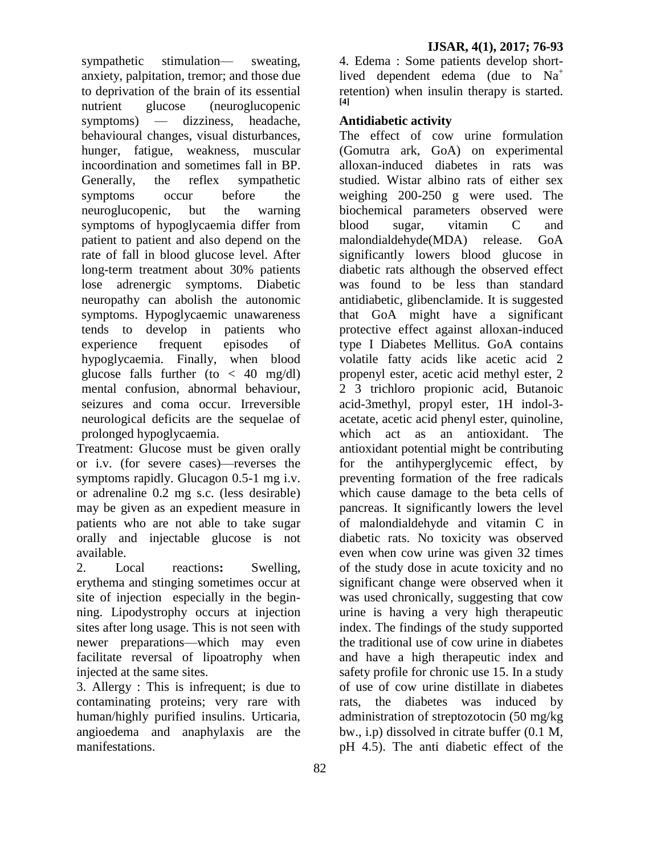sympathetic stimulation— sweating, anxiety, palpitation, tremor; and those due to deprivation of the brain of its essential nutrient glucose (neuroglucopenic symptoms) — dizziness, headache, behavioural changes, visual disturbances, hunger, fatigue, weakness, muscular incoordination and sometimes fall in BP. Generally, the reflex sympathetic symptoms occur before the neuroglucopenic, but the warning symptoms of hypoglycaemia differ from patient to patient and also depend on the rate of fall in blood glucose level. After long-term treatment about 30% patients lose adrenergic symptoms. Diabetic neuropathy can abolish the autonomic symptoms. Hypoglycaemic unawareness tends to develop in patients who experience frequent episodes of hypoglycaemia. Finally, when blood glucose falls further (to  $<$  40 mg/dl) mental confusion, abnormal behaviour, seizures and coma occur. Irreversible neurological deficits are the sequelae of prolonged hypoglycaemia.

Treatment: Glucose must be given orally or i.v. (for severe cases)—reverses the symptoms rapidly. Glucagon 0.5-1 mg i.v. or adrenaline 0.2 mg s.c. (less desirable) may be given as an expedient measure in patients who are not able to take sugar orally and injectable glucose is not available.

2. Local reactions**:** Swelling, erythema and stinging sometimes occur at site of injection especially in the beginning. Lipodystrophy occurs at injection sites after long usage. This is not seen with newer preparations—which may even facilitate reversal of lipoatrophy when injected at the same sites.

3. Allergy : This is infrequent; is due to contaminating proteins; very rare with human/highly purified insulins. Urticaria, angioedema and anaphylaxis are the manifestations.

4. Edema : Some patients develop shortlived dependent edema (due to  $Na<sup>+</sup>$ retention) when insulin therapy is started. **[4]**

## **Antidiabetic activity**

The effect of cow urine formulation (Gomutra ark, GoA) on experimental alloxan-induced diabetes in rats was studied. Wistar albino rats of either sex weighing 200-250 g were used. The biochemical parameters observed were blood sugar, vitamin C and malondialdehyde(MDA) release. GoA significantly lowers blood glucose in diabetic rats although the observed effect was found to be less than standard antidiabetic, glibenclamide. It is suggested that GoA might have a significant protective effect against alloxan-induced type I Diabetes Mellitus. GoA contains volatile fatty acids like acetic acid 2 propenyl ester, acetic acid methyl ester, 2 2 3 trichloro propionic acid, Butanoic acid-3methyl, propyl ester, 1H indol-3 acetate, acetic acid phenyl ester, quinoline, which act as an antioxidant. The antioxidant potential might be contributing for the antihyperglycemic effect, by preventing formation of the free radicals which cause damage to the beta cells of pancreas. It significantly lowers the level of malondialdehyde and vitamin C in diabetic rats. No toxicity was observed even when cow urine was given 32 times of the study dose in acute toxicity and no significant change were observed when it was used chronically, suggesting that cow urine is having a very high therapeutic index. The findings of the study supported the traditional use of cow urine in diabetes and have a high therapeutic index and safety profile for chronic use 15. In a study of use of cow urine distillate in diabetes rats, the diabetes was induced by administration of streptozotocin (50 mg/kg bw., i.p) dissolved in citrate buffer (0.1 M, pH 4.5). The anti diabetic effect of the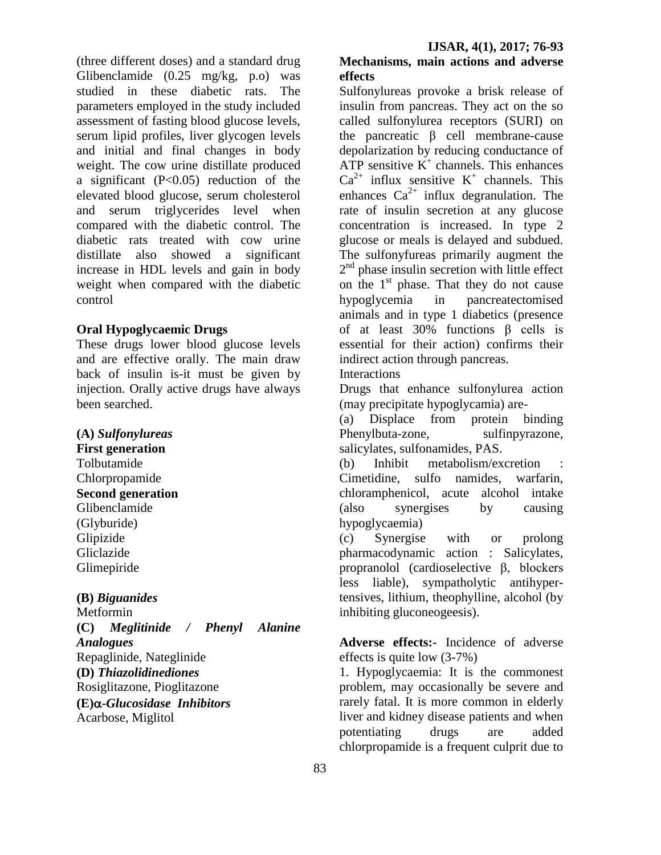(three different doses) and a standard drug Glibenclamide (0.25 mg/kg, p.o) was studied in these diabetic rats. The parameters employed in the study included assessment of fasting blood glucose levels, serum lipid profiles, liver glycogen levels and initial and final changes in body weight. The cow urine distillate produced a significant  $(P<0.05)$  reduction of the elevated blood glucose, serum cholesterol and serum triglycerides level when compared with the diabetic control. The diabetic rats treated with cow urine distillate also showed a significant increase in HDL levels and gain in body weight when compared with the diabetic control

#### **Oral Hypoglycaemic Drugs**

These drugs lower blood glucose levels and are effective orally. The main draw back of insulin is-it must be given by injection. Orally active drugs have always been searched.

**(A)** *Sulfonylureas*

**First generation**  Tolbutamide Chlorpropamide **Second generation** Glibenclamide (Glyburide) Glipizide Gliclazide Glimepiride

**(B)** *Biguanides*

Metformin **(C)** *Meglitinide / Phenyl Alanine Analogues* Repaglinide, Nateglinide **(D)** *Thiazolidinediones* Rosiglitazone, Pioglitazone **(E)-***Glucosidase Inhibitors* Acarbose, Miglitol

## **Mechanisms, main actions and adverse effects**

Sulfonylureas provoke a brisk release of insulin from pancreas. They act on the so called sulfonylurea receptors (SURI) on the pancreatic β cell membrane-cause depolarization by reducing conductance of ATP sensitive  $K^+$  channels. This enhances  $Ca^{2+}$  influx sensitive K<sup>+</sup> channels. This enhances  $Ca^{2+}$  influx degranulation. The rate of insulin secretion at any glucose concentration is increased. In type 2 glucose or meals is delayed and subdued. The sulfonyfureas primarily augment the 2<sup>nd</sup> phase insulin secretion with little effect on the  $1<sup>st</sup>$  phase. That they do not cause hypoglycemia in pancreatectomised animals and in type 1 diabetics (presence of at least 30% functions β cells is essential for their action) confirms their indirect action through pancreas.

**Interactions** 

Drugs that enhance sulfonylurea action (may precipitate hypoglycamia) are-

(a) Displace from protein binding Phenylbuta-zone, sulfinpyrazone, salicylates, sulfonamides, PAS.

(b) Inhibit metabolism/excretion Cimetidine, sulfo namides, warfarin, chloramphenicol, acute alcohol intake (also synergises by causing hypoglycaemia)

(c) Synergise with or prolong pharmacodynamic action : Salicylates, propranolol (cardioselective β, blockers less liable), sympatholytic antihypertensives, lithium, theophylline, alcohol (by inhibiting gluconeogeesis).

**Adverse effects:-** Incidence of adverse effects is quite low (3-7%)

1. Hypoglycaemia: It is the commonest problem, may occasionally be severe and rarely fatal. It is more common in elderly liver and kidney disease patients and when potentiating drugs are added chlorpropamide is a frequent culprit due to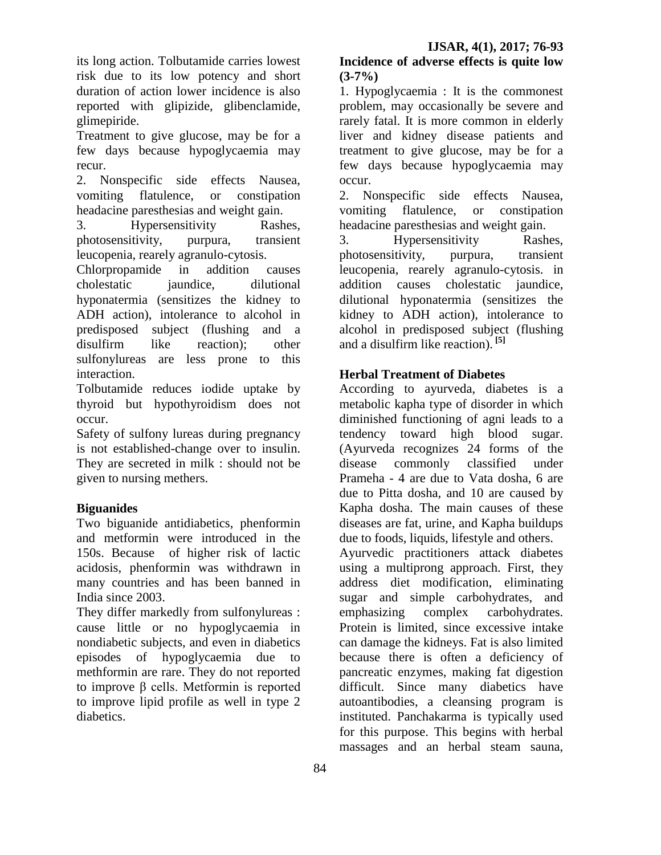its long action. Tolbutamide carries lowest risk due to its low potency and short duration of action lower incidence is also reported with glipizide, glibenclamide, glimepiride.

Treatment to give glucose, may be for a few days because hypoglycaemia may recur.

2. Nonspecific side effects Nausea, vomiting flatulence, or constipation headacine paresthesias and weight gain.

3. Hypersensitivity Rashes, photosensitivity, purpura, transient leucopenia, rearely agranulo-cytosis.

Chlorpropamide in addition causes cholestatic jaundice, dilutional hyponatermia (sensitizes the kidney to ADH action), intolerance to alcohol in predisposed subject (flushing and a disulfirm like reaction); other sulfonylureas are less prone to this interaction.

Tolbutamide reduces iodide uptake by thyroid but hypothyroidism does not occur.

Safety of sulfony lureas during pregnancy is not established-change over to insulin. They are secreted in milk : should not be given to nursing methers.

# **Biguanides**

Two biguanide antidiabetics, phenformin and metformin were introduced in the 150s. Because of higher risk of lactic acidosis, phenformin was withdrawn in many countries and has been banned in India since 2003.

They differ markedly from sulfonylureas : cause little or no hypoglycaemia in nondiabetic subjects, and even in diabetics episodes of hypoglycaemia due to methformin are rare. They do not reported to improve β cells. Metformin is reported to improve lipid profile as well in type 2 diabetics.

### **Incidence of adverse effects is quite low (3-7%)**

1. Hypoglycaemia : It is the commonest problem, may occasionally be severe and rarely fatal. It is more common in elderly liver and kidney disease patients and treatment to give glucose, may be for a few days because hypoglycaemia may occur.

2. Nonspecific side effects Nausea, vomiting flatulence, or constipation headacine paresthesias and weight gain.

3. Hypersensitivity Rashes, photosensitivity, purpura, transient leucopenia, rearely agranulo-cytosis. in addition causes cholestatic jaundice, dilutional hyponatermia (sensitizes the kidney to ADH action), intolerance to alcohol in predisposed subject (flushing and a disulfirm like reaction). **[5]**

## **Herbal Treatment of Diabetes**

According to ayurveda, diabetes is a metabolic kapha type of disorder in which diminished functioning of agni leads to a tendency toward high blood sugar. (Ayurveda recognizes 24 forms of the disease commonly classified under Prameha - 4 are due to Vata dosha, 6 are due to Pitta dosha, and 10 are caused by Kapha dosha. The main causes of these diseases are fat, urine, and Kapha buildups due to foods, liquids, lifestyle and others. Ayurvedic practitioners attack diabetes using a multiprong approach. First, they address diet modification, eliminating sugar and simple carbohydrates, and emphasizing complex carbohydrates. Protein is limited, since excessive intake can damage the kidneys. Fat is also limited because there is often a deficiency of pancreatic enzymes, making fat digestion difficult. Since many diabetics have autoantibodies, a cleansing program is instituted. Panchakarma is typically used for this purpose. This begins with herbal massages and an herbal steam sauna,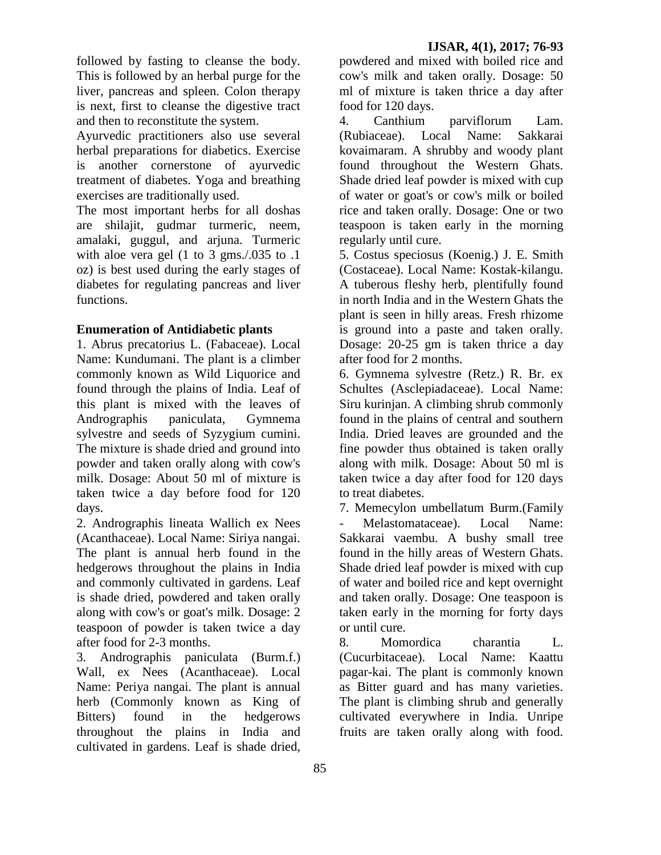followed by fasting to cleanse the body. This is followed by an herbal purge for the liver, pancreas and spleen. Colon therapy is next, first to cleanse the digestive tract and then to reconstitute the system.

Ayurvedic practitioners also use several herbal preparations for diabetics. Exercise is another cornerstone of ayurvedic treatment of diabetes. Yoga and breathing exercises are traditionally used.

The most important herbs for all doshas are shilajit, gudmar turmeric, neem, amalaki, guggul, and arjuna. Turmeric with aloe vera gel (1 to 3 gms./.035 to .1 oz) is best used during the early stages of diabetes for regulating pancreas and liver functions.

## **Enumeration of Antidiabetic plants**

1. Abrus precatorius L. (Fabaceae). Local Name: Kundumani. The plant is a climber commonly known as Wild Liquorice and found through the plains of India. Leaf of this plant is mixed with the leaves of Andrographis paniculata, Gymnema sylvestre and seeds of Syzygium cumini. The mixture is shade dried and ground into powder and taken orally along with cow's milk. Dosage: About 50 ml of mixture is taken twice a day before food for 120 days.

2. Andrographis lineata Wallich ex Nees (Acanthaceae). Local Name: Siriya nangai. The plant is annual herb found in the hedgerows throughout the plains in India and commonly cultivated in gardens. Leaf is shade dried, powdered and taken orally along with cow's or goat's milk. Dosage: 2 teaspoon of powder is taken twice a day after food for 2-3 months.

3. Andrographis paniculata (Burm.f.) Wall, ex Nees (Acanthaceae). Local Name: Periya nangai. The plant is annual herb (Commonly known as King of Bitters) found in the hedgerows throughout the plains in India and cultivated in gardens. Leaf is shade dried,

powdered and mixed with boiled rice and cow's milk and taken orally. Dosage: 50 ml of mixture is taken thrice a day after food for 120 days.

4. Canthium parviflorum Lam. (Rubiaceae). Local Name: Sakkarai kovaimaram. A shrubby and woody plant found throughout the Western Ghats. Shade dried leaf powder is mixed with cup of water or goat's or cow's milk or boiled rice and taken orally. Dosage: One or two teaspoon is taken early in the morning regularly until cure.

5. Costus speciosus (Koenig.) J. E. Smith (Costaceae). Local Name: Kostak-kilangu. A tuberous fleshy herb, plentifully found in north India and in the Western Ghats the plant is seen in hilly areas. Fresh rhizome is ground into a paste and taken orally. Dosage: 20-25 gm is taken thrice a day after food for 2 months.

6. Gymnema sylvestre (Retz.) R. Br. ex Schultes (Asclepiadaceae). Local Name: Siru kurinjan. A climbing shrub commonly found in the plains of central and southern India. Dried leaves are grounded and the fine powder thus obtained is taken orally along with milk. Dosage: About 50 ml is taken twice a day after food for 120 days to treat diabetes.

7. Memecylon umbellatum Burm.(Family Melastomataceae). Local Name: Sakkarai vaembu. A bushy small tree found in the hilly areas of Western Ghats. Shade dried leaf powder is mixed with cup of water and boiled rice and kept overnight and taken orally. Dosage: One teaspoon is taken early in the morning for forty days or until cure.

8. Momordica charantia L. (Cucurbitaceae). Local Name: Kaattu pagar-kai. The plant is commonly known as Bitter guard and has many varieties. The plant is climbing shrub and generally cultivated everywhere in India. Unripe fruits are taken orally along with food.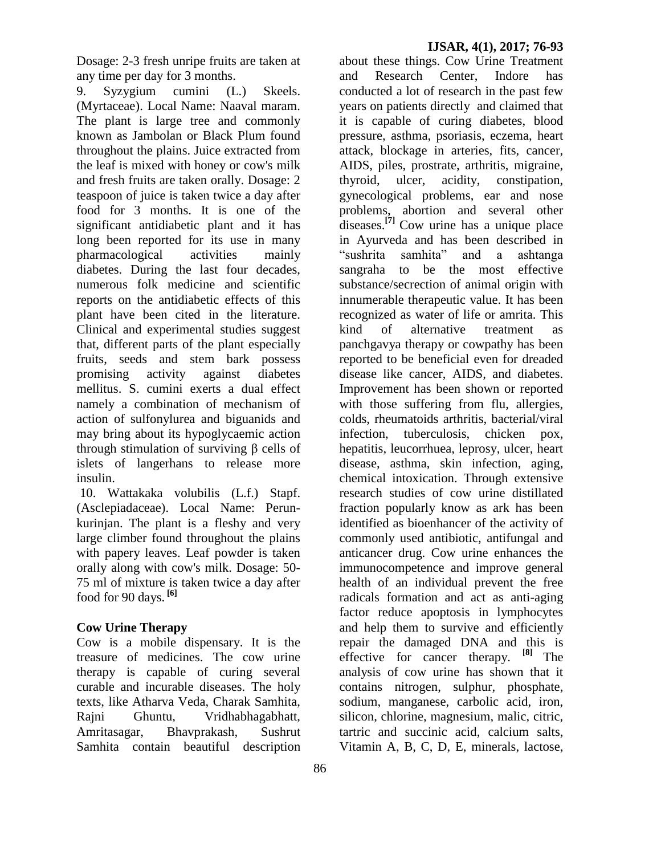Dosage: 2-3 fresh unripe fruits are taken at any time per day for 3 months.

9. Syzygium cumini (L.) Skeels. (Myrtaceae). Local Name: Naaval maram. The plant is large tree and commonly known as Jambolan or Black Plum found throughout the plains. Juice extracted from the leaf is mixed with honey or cow's milk and fresh fruits are taken orally. Dosage: 2 teaspoon of juice is taken twice a day after food for 3 months. It is one of the significant antidiabetic plant and it has long been reported for its use in many pharmacological activities mainly diabetes. During the last four decades, numerous folk medicine and scientific reports on the antidiabetic effects of this plant have been cited in the literature. Clinical and experimental studies suggest that, different parts of the plant especially fruits, seeds and stem bark possess promising activity against diabetes mellitus. S. cumini exerts a dual effect namely a combination of mechanism of action of sulfonylurea and biguanids and may bring about its hypoglycaemic action through stimulation of surviving β cells of islets of langerhans to release more insulin.

10. Wattakaka volubilis (L.f.) Stapf. (Asclepiadaceae). Local Name: Perunkurinjan. The plant is a fleshy and very large climber found throughout the plains with papery leaves. Leaf powder is taken orally along with cow's milk. Dosage: 50- 75 ml of mixture is taken twice a day after food for 90 days. **[6]**

#### **Cow Urine Therapy**

Cow is a mobile dispensary. It is the treasure of medicines. The cow urine therapy is capable of curing several curable and incurable diseases. The holy texts, like Atharva Veda, Charak Samhita, Rajni Ghuntu, Vridhabhagabhatt, Amritasagar, Bhavprakash, Sushrut Samhita contain beautiful description

about these things. Cow Urine Treatment and Research Center, Indore has conducted a lot of research in the past few years on patients directly and claimed that it is capable of curing diabetes, blood pressure, asthma, psoriasis, eczema, heart attack, blockage in arteries, fits, cancer, AIDS, piles, prostrate, arthritis, migraine, thyroid, ulcer, acidity, constipation, gynecological problems, ear and nose problems, abortion and several other diseases.**[7]** Cow urine has a unique place in Ayurveda and has been described in "sushrita samhita" and a ashtanga sangraha to be the most effective substance/secrection of animal origin with innumerable therapeutic value. It has been recognized as water of life or amrita. This kind of alternative treatment as panchgavya therapy or cowpathy has been reported to be beneficial even for dreaded disease like cancer, AIDS, and diabetes. Improvement has been shown or reported with those suffering from flu, allergies, colds, rheumatoids arthritis, bacterial/viral infection, tuberculosis, chicken pox, hepatitis, leucorrhuea, leprosy, ulcer, heart disease, asthma, skin infection, aging, chemical intoxication. Through extensive research studies of cow urine distillated fraction popularly know as ark has been identified as bioenhancer of the activity of commonly used antibiotic, antifungal and anticancer drug. Cow urine enhances the immunocompetence and improve general health of an individual prevent the free radicals formation and act as anti-aging factor reduce apoptosis in lymphocytes and help them to survive and efficiently repair the damaged DNA and this is effective for cancer therapy. **[8]** The analysis of cow urine has shown that it contains nitrogen, sulphur, phosphate, sodium, manganese, carbolic acid, iron, silicon, chlorine, magnesium, malic, citric, tartric and succinic acid, calcium salts, Vitamin A, B, C, D, E, minerals, lactose,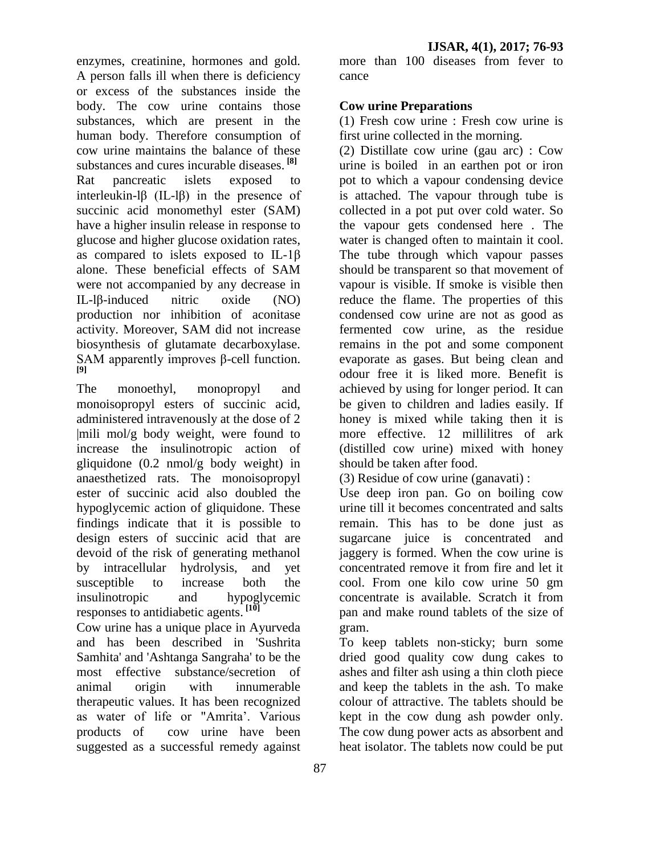enzymes, creatinine, hormones and gold. A person falls ill when there is deficiency or excess of the substances inside the body. The cow urine contains those substances, which are present in the human body. Therefore consumption of cow urine maintains the balance of these substances and cures incurable diseases. **[8]** Rat pancreatic islets exposed to interleukin-lβ (IL-lβ) in the presence of succinic acid monomethyl ester (SAM) have a higher insulin release in response to glucose and higher glucose oxidation rates, as compared to islets exposed to IL-1β alone. These beneficial effects of SAM were not accompanied by any decrease in IL-lβ-induced nitric oxide (NO) production nor inhibition of aconitase activity. Moreover, SAM did not increase biosynthesis of glutamate decarboxylase. SAM apparently improves β-cell function. **[9]**

The monoethyl, monopropyl and monoisopropyl esters of succinic acid, administered intravenously at the dose of 2 |mili mol/g body weight, were found to increase the insulinotropic action of gliquidone (0.2 nmol/g body weight) in anaesthetized rats. The monoisopropyl ester of succinic acid also doubled the hypoglycemic action of gliquidone. These findings indicate that it is possible to design esters of succinic acid that are devoid of the risk of generating methanol by intracellular hydrolysis, and yet susceptible to increase both the insulinotropic and hypoglycemic responses to antidiabetic agents. **[10]**

Cow urine has a unique place in Ayurveda and has been described in 'Sushrita Samhita' and 'Ashtanga Sangraha' to be the most effective substance/secretion of animal origin with innumerable therapeutic values. It has been recognized as water of life or "Amrita'. Various products of cow urine have been suggested as a successful remedy against

more than 100 diseases from fever to cance

## **Cow urine Preparations**

(1) Fresh cow urine : Fresh cow urine is first urine collected in the morning.

(2) Distillate cow urine (gau arc) : Cow urine is boiled in an earthen pot or iron pot to which a vapour condensing device is attached. The vapour through tube is collected in a pot put over cold water. So the vapour gets condensed here . The water is changed often to maintain it cool. The tube through which vapour passes should be transparent so that movement of vapour is visible. If smoke is visible then reduce the flame. The properties of this condensed cow urine are not as good as fermented cow urine, as the residue remains in the pot and some component evaporate as gases. But being clean and odour free it is liked more. Benefit is achieved by using for longer period. It can be given to children and ladies easily. If honey is mixed while taking then it is more effective. 12 millilitres of ark (distilled cow urine) mixed with honey should be taken after food.

(3) Residue of cow urine (ganavati) :

Use deep iron pan. Go on boiling cow urine till it becomes concentrated and salts remain. This has to be done just as sugarcane juice is concentrated and jaggery is formed. When the cow urine is concentrated remove it from fire and let it cool. From one kilo cow urine 50 gm concentrate is available. Scratch it from pan and make round tablets of the size of gram.

To keep tablets non-sticky; burn some dried good quality cow dung cakes to ashes and filter ash using a thin cloth piece and keep the tablets in the ash. To make colour of attractive. The tablets should be kept in the cow dung ash powder only. The cow dung power acts as absorbent and heat isolator. The tablets now could be put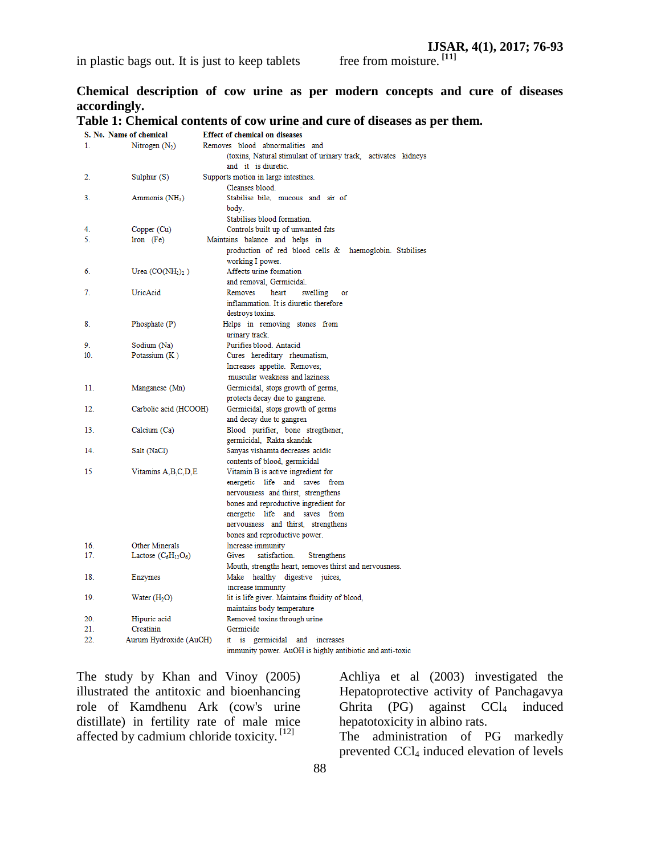**Chemical description of cow urine as per modern concepts and cure of diseases accordingly.**

# **Table 1: Chemical contents of cow urine and cure of diseases as per them.**

| S. No. Name of chemical |                            | <b>Effect of chemical on diseases</b>                          |
|-------------------------|----------------------------|----------------------------------------------------------------|
| 1.                      | Nitrogen $(N_2)$           | Removes blood abnormalities and                                |
|                         |                            | (toxins, Natural stimulant of urinary track, activates kidneys |
|                         |                            | and it is diuretic.                                            |
| 2.                      | Sulphur $(S)$              | Supports motion in large intestines.                           |
|                         |                            | Cleanses blood.                                                |
| 3.                      | Ammonia (NH <sub>3</sub> ) | Stabilise bile, mucous and air of                              |
|                         |                            | body.                                                          |
|                         |                            | Stabilises blood formation.                                    |
| 4.                      | Copper (Cu)                | Controls built up of unwanted fats                             |
| 5.                      | $lron$ (Fe)                | Maintains balance and helps in                                 |
|                         |                            | production of red blood cells & haemoglobin. Stabilises        |
|                         |                            | working I power.                                               |
| 6.                      | Urea $(CO(NH2)2)$          | Affects urine formation                                        |
|                         |                            | and removal, Germicidal.                                       |
| 7.                      | UricAcid                   | Removes<br>heart<br>swelling<br>or                             |
|                         |                            | inflammation. It is diuretic therefore                         |
|                         |                            |                                                                |
|                         |                            | destroys toxins.                                               |
| 8.                      | Phosphate (P)              | Helps in removing stones from                                  |
|                         |                            | urinary track.                                                 |
| 9.                      | Sodium (Na)                | Purifies blood. Antacid                                        |
| 10 <sub>1</sub>         | Potassium $(K)$            | Cures hereditary rheumatism,                                   |
|                         |                            | Increases appetite. Removes;                                   |
|                         |                            | muscular weakness and laziness.                                |
| 11.                     | Manganese (Mn)             | Germicidal, stops growth of germs,                             |
|                         |                            | protects decay due to gangrene.                                |
| 12.                     | Carbolic acid (HCOOH)      | Germicidal, stops growth of germs                              |
|                         |                            | and decay due to gangren                                       |
| 13.                     | Calcium (Ca)               | Blood purifier, bone stregthener,                              |
|                         |                            | germicidal, Rakta skandak                                      |
| 14.                     | Salt (NaCl)                | Sanyas vishamta decreases acidic                               |
|                         |                            | contents of blood, germicidal                                  |
| 15                      | Vitamins A, B, C, D, E     | Vitamin B is active ingredient for                             |
|                         |                            | energetic life and saves from                                  |
|                         |                            | nervousness and thirst, strengthens                            |
|                         |                            | bones and reproductive ingredient for                          |
|                         |                            | energetic life and saves<br>from                               |
|                         |                            | nervousness and thirst, strengthens                            |
|                         |                            | bones and reproductive power.                                  |
| 16.                     | Other Minerals             | Increase immunity                                              |
| 17.                     | Lactose $(C_6H_{12}O_6)$   | satisfaction.<br>Gives<br>Strengthens                          |
|                         |                            | Mouth, strengths heart, removes thirst and nervousness.        |
| 18.                     | Enzymes                    | Make healthy digestive juices,                                 |
|                         |                            | increase immunity                                              |
| 19.                     | Water $(H2O)$              | lit is life giver. Maintains fluidity of blood,                |
|                         |                            | maintains body temperature                                     |
| 20.                     | Hipuric acid               | Removed toxins through urine                                   |
| 21.                     | Creatinin                  | Germicide                                                      |
| 22.                     | Aurum Hydroxide (AuOH)     | it is<br>germicidal and<br>increases                           |
|                         |                            | immunity power. AuOH is highly antibiotic and anti-toxic       |
|                         |                            |                                                                |

The study by Khan and Vinoy (2005) illustrated the antitoxic and bioenhancing role of Kamdhenu Ark (cow's urine distillate) in fertility rate of male mice affected by cadmium chloride toxicity.<sup>[12]</sup>

Achliya et al (2003) investigated the Hepatoprotective activity of Panchagavya Ghrita  $(PG)$  against  $CCl<sub>4</sub>$  induced hepatotoxicity in albino rats.

The administration of PG markedly prevented CCl<sup>4</sup> induced elevation of levels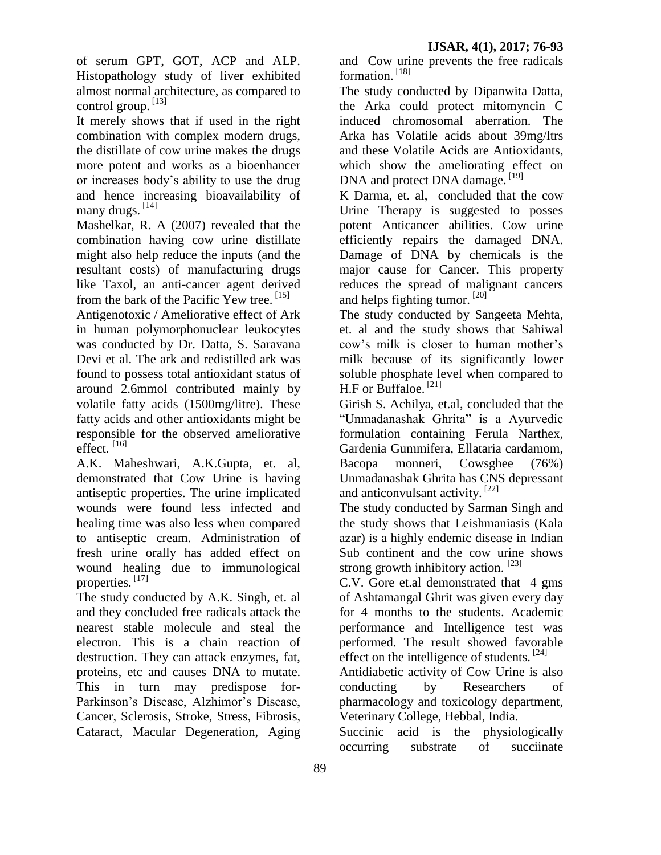of serum GPT, GOT, ACP and ALP. Histopathology study of liver exhibited almost normal architecture, as compared to control group. [13]

It merely shows that if used in the right combination with complex modern drugs, the distillate of cow urine makes the drugs more potent and works as a bioenhancer or increases body's ability to use the drug and hence increasing bioavailability of many drugs. [14]

Mashelkar, R. A (2007) revealed that the combination having cow urine distillate might also help reduce the inputs (and the resultant costs) of manufacturing drugs like Taxol, an anti-cancer agent derived from the bark of the Pacific Yew tree. [15]

Antigenotoxic / Ameliorative effect of Ark in human polymorphonuclear leukocytes was conducted by Dr. Datta, S. Saravana Devi et al. The ark and redistilled ark was found to possess total antioxidant status of around 2.6mmol contributed mainly by volatile fatty acids (1500mg/litre). These fatty acids and other antioxidants might be responsible for the observed ameliorative effect. [16]

A.K. Maheshwari, A.K.Gupta, et. al, demonstrated that Cow Urine is having antiseptic properties. The urine implicated wounds were found less infected and healing time was also less when compared to antiseptic cream. Administration of fresh urine orally has added effect on wound healing due to immunological properties. [17]

The study conducted by A.K. Singh, et. al and they concluded free radicals attack the nearest stable molecule and steal the electron. This is a chain reaction of destruction. They can attack enzymes, fat, proteins, etc and causes DNA to mutate. This in turn may predispose for-Parkinson's Disease, Alzhimor's Disease, Cancer, Sclerosis, Stroke, Stress, Fibrosis, Cataract, Macular Degeneration, Aging

and Cow urine prevents the free radicals formation.<sup>[18]</sup>

The study conducted by Dipanwita Datta, the Arka could protect mitomyncin C induced chromosomal aberration. The Arka has Volatile acids about 39mg/ltrs and these Volatile Acids are Antioxidants, which show the ameliorating effect on DNA and protect DNA damage.<sup>[19]</sup>

K Darma, et. al, concluded that the cow Urine Therapy is suggested to posses potent Anticancer abilities. Cow urine efficiently repairs the damaged DNA. Damage of DNA by chemicals is the major cause for Cancer. This property reduces the spread of malignant cancers and helps fighting tumor. [20]

The study conducted by Sangeeta Mehta, et. al and the study shows that Sahiwal cow's milk is closer to human mother's milk because of its significantly lower soluble phosphate level when compared to H.F or Buffaloe. [21]

Girish S. Achilya, et.al, concluded that the "Unmadanashak Ghrita" is a Ayurvedic formulation containing Ferula Narthex, Gardenia Gummifera, Ellataria cardamom, Bacopa monneri, Cowsghee (76%) Unmadanashak Ghrita has CNS depressant and anticonvulsant activity.<sup>[22]</sup>

The study conducted by Sarman Singh and the study shows that Leishmaniasis (Kala azar) is a highly endemic disease in Indian Sub continent and the cow urine shows strong growth inhibitory action.  $[23]$ 

C.V. Gore et.al demonstrated that 4 gms of Ashtamangal Ghrit was given every day for 4 months to the students. Academic performance and Intelligence test was performed. The result showed favorable effect on the intelligence of students.  $[24]$ 

Antidiabetic activity of Cow Urine is also conducting by Researchers of pharmacology and toxicology department, Veterinary College, Hebbal, India.

Succinic acid is the physiologically occurring substrate of succiinate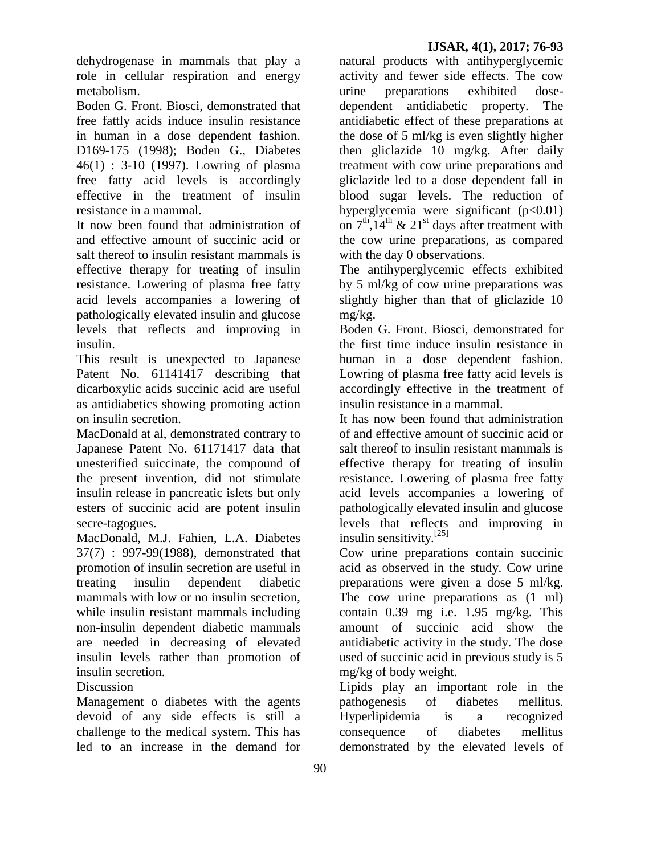dehydrogenase in mammals that play a role in cellular respiration and energy metabolism.

Boden G. Front. Biosci, demonstrated that free fattly acids induce insulin resistance in human in a dose dependent fashion. D169-175 (1998); Boden G., Diabetes 46(1) : 3-10 (1997). Lowring of plasma free fatty acid levels is accordingly effective in the treatment of insulin resistance in a mammal.

It now been found that administration of and effective amount of succinic acid or salt thereof to insulin resistant mammals is effective therapy for treating of insulin resistance. Lowering of plasma free fatty acid levels accompanies a lowering of pathologically elevated insulin and glucose levels that reflects and improving in insulin.

This result is unexpected to Japanese Patent No. 61141417 describing that dicarboxylic acids succinic acid are useful as antidiabetics showing promoting action on insulin secretion.

MacDonald at al, demonstrated contrary to Japanese Patent No. 61171417 data that unesterified suiccinate, the compound of the present invention, did not stimulate insulin release in pancreatic islets but only esters of succinic acid are potent insulin secre-tagogues.

MacDonald, M.J. Fahien, L.A. Diabetes 37(7) : 997-99(1988), demonstrated that promotion of insulin secretion are useful in treating insulin dependent diabetic mammals with low or no insulin secretion, while insulin resistant mammals including non-insulin dependent diabetic mammals are needed in decreasing of elevated insulin levels rather than promotion of insulin secretion.

## **Discussion**

Management o diabetes with the agents devoid of any side effects is still a challenge to the medical system. This has led to an increase in the demand for

natural products with antihyperglycemic activity and fewer side effects. The cow urine preparations exhibited dosedependent antidiabetic property. The antidiabetic effect of these preparations at the dose of 5 ml/kg is even slightly higher then gliclazide 10 mg/kg. After daily treatment with cow urine preparations and gliclazide led to a dose dependent fall in blood sugar levels. The reduction of hyperglycemia were significant (p<0.01) on  $7<sup>th</sup>$ ,14<sup>th</sup> & 21<sup>st</sup> days after treatment with the cow urine preparations, as compared with the day 0 observations.

The antihyperglycemic effects exhibited by 5 ml/kg of cow urine preparations was slightly higher than that of gliclazide 10 mg/kg.

Boden G. Front. Biosci, demonstrated for the first time induce insulin resistance in human in a dose dependent fashion. Lowring of plasma free fatty acid levels is accordingly effective in the treatment of insulin resistance in a mammal.

It has now been found that administration of and effective amount of succinic acid or salt thereof to insulin resistant mammals is effective therapy for treating of insulin resistance. Lowering of plasma free fatty acid levels accompanies a lowering of pathologically elevated insulin and glucose levels that reflects and improving in insulin sensitivity.[25]

Cow urine preparations contain succinic acid as observed in the study. Cow urine preparations were given a dose 5 ml/kg. The cow urine preparations as  $(1 \text{ ml})$ contain 0.39 mg i.e. 1.95 mg/kg. This amount of succinic acid show the antidiabetic activity in the study. The dose used of succinic acid in previous study is 5 mg/kg of body weight.

Lipids play an important role in the pathogenesis of diabetes mellitus. Hyperlipidemia is a recognized consequence of diabetes mellitus demonstrated by the elevated levels of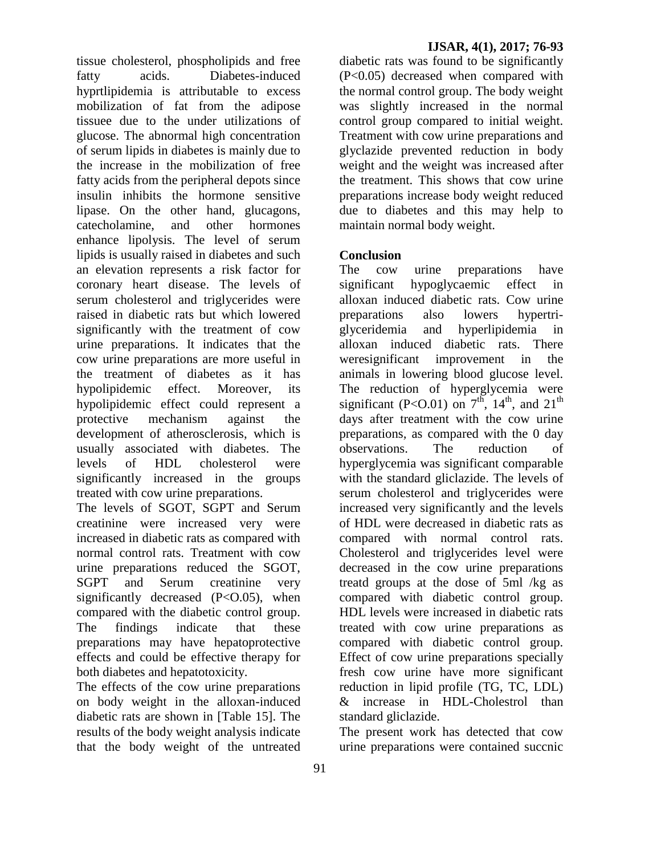tissue cholesterol, phospholipids and free fatty acids. Diabetes-induced hyprtlipidemia is attributable to excess mobilization of fat from the adipose tissuee due to the under utilizations of glucose. The abnormal high concentration of serum lipids in diabetes is mainly due to the increase in the mobilization of free fatty acids from the peripheral depots since insulin inhibits the hormone sensitive lipase. On the other hand, glucagons, catecholamine, and other hormones enhance lipolysis. The level of serum lipids is usually raised in diabetes and such an elevation represents a risk factor for coronary heart disease. The levels of serum cholesterol and triglycerides were raised in diabetic rats but which lowered significantly with the treatment of cow urine preparations. It indicates that the cow urine preparations are more useful in the treatment of diabetes as it has hypolipidemic effect. Moreover, its hypolipidemic effect could represent a protective mechanism against the development of atherosclerosis, which is usually associated with diabetes. The levels of HDL cholesterol were significantly increased in the groups treated with cow urine preparations.

The levels of SGOT, SGPT and Serum creatinine were increased very were increased in diabetic rats as compared with normal control rats. Treatment with cow urine preparations reduced the SGOT, SGPT and Serum creatinine very significantly decreased  $(P<0.05)$ , when compared with the diabetic control group. The findings indicate that these preparations may have hepatoprotective effects and could be effective therapy for both diabetes and hepatotoxicity.

The effects of the cow urine preparations on body weight in the alloxan-induced diabetic rats are shown in [Table 15]. The results of the body weight analysis indicate that the body weight of the untreated

diabetic rats was found to be significantly (P<0.05) decreased when compared with the normal control group. The body weight was slightly increased in the normal control group compared to initial weight. Treatment with cow urine preparations and glyclazide prevented reduction in body weight and the weight was increased after the treatment. This shows that cow urine preparations increase body weight reduced due to diabetes and this may help to maintain normal body weight.

## **Conclusion**

The cow urine preparations have significant hypoglycaemic effect in alloxan induced diabetic rats. Cow urine preparations also lowers hypertriglyceridemia and hyperlipidemia in alloxan induced diabetic rats. There weresignificant improvement in the animals in lowering blood glucose level. The reduction of hyperglycemia were significant (P<O.01) on  $7^{\text{th}}$ ,  $14^{\text{th}}$ , and  $21^{\text{th}}$ days after treatment with the cow urine preparations*,* as compared with the 0 day observations. The reduction of hyperglycemia was significant comparable with the standard gliclazide. The levels of serum cholesterol and triglycerides were increased very significantly and the levels of HDL were decreased in diabetic rats as compared with normal control rats. Cholesterol and triglycerides level were decreased in the cow urine preparations treatd groups at the dose of 5ml /kg as compared with diabetic control group. HDL levels were increased in diabetic rats treated with cow urine preparations as compared with diabetic control group. Effect of cow urine preparations specially fresh cow urine have more significant reduction in lipid profile (TG, TC, LDL) & increase in HDL-Cholestrol than standard gliclazide.

The present work has detected that cow urine preparations were contained succnic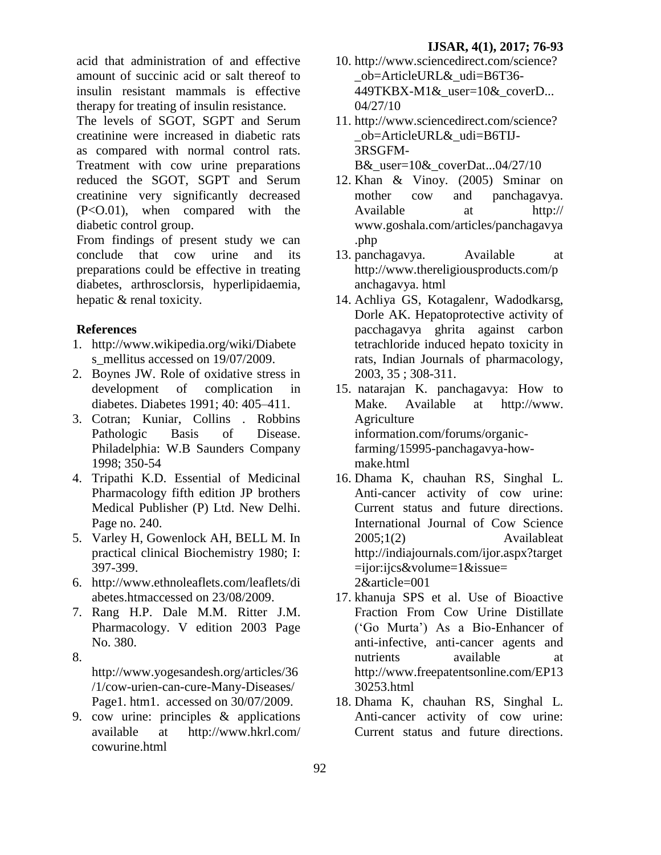acid that administration of and effective amount of succinic acid or salt thereof to insulin resistant mammals is effective therapy for treating of insulin resistance.

The levels of SGOT, SGPT and Serum creatinine were increased in diabetic rats as compared with normal control rats. Treatment with cow urine preparations reduced the SGOT, SGPT and Serum creatinine very significantly decreased  $(P<0.01)$ , when compared with the diabetic control group.

From findings of present study we can conclude that cow urine and its preparations could be effective in treating diabetes, arthrosclorsis, hyperlipidaemia, hepatic & renal toxicity.

# **References**

- 1. [http://www.wikipedia.org/wiki/Diabete](http://www.wikipedia.org/wiki/Diabetes_mellitus%20accessed%20on%2019/07/2009) s mellitus accessed on 19/07/2009.
- 2. Boynes JW. Role of oxidative stress in development of complication in diabetes. Diabetes 1991; 40: 405–411.
- 3. Cotran; Kuniar, Collins . Robbins Pathologic Basis of Disease. Philadelphia: W.B Saunders Company 1998; 350-54
- 4. Tripathi K.D. Essential of Medicinal Pharmacology fifth edition JP brothers Medical Publisher (P) Ltd. New Delhi. Page no. 240.
- 5. Varley H, Gowenlock AH, BELL M. In practical clinical Biochemistry 1980; I: 397-399.
- 6. [http://www.ethnoleaflets.com/leaflets/di](http://www.ethnoleaflets.com/leaflets/diabetes.htmaccessed%20on%2023/08/2009) [abetes.htmaccessed on 23/08/2009.](http://www.ethnoleaflets.com/leaflets/diabetes.htmaccessed%20on%2023/08/2009)
- 7. Rang H.P. Dale M.M. Ritter J.M. Pharmacology. V edition 2003 Page No. 380.
- 8.

[http://www.yogesandesh.org/articles/36](http://www.yogesandesh.org/articles/36/1/cow-urien-can-cure-Many-Diseases/) [/1/cow-urien-can-cure-Many-Diseases/](http://www.yogesandesh.org/articles/36/1/cow-urien-can-cure-Many-Diseases/) Page1. htm1. accessed on 30/07/2009.

9. cow urine: principles & applications available at [http://www.hkrl.com/](http://www.hkrl.com/%20cowurine.html)  [cowurine.html](http://www.hkrl.com/%20cowurine.html)

- 10. http://www.sciencedirect.com/science? \_ob=ArticleURL&\_udi=B6T36- 449TKBX-M1& user=10& coverD... 04/27/10
- 11. http://www.sciencedirect.com/science? \_ob=ArticleURL&\_udi=B6TIJ-3RSGFM-B&\_user=10&\_coverDat...04/27/10
- 12. Khan & Vinoy. (2005) Sminar on mother cow and panchagavya. Available at http:// [www.goshala.com/articles/panchagavya](http://www.goshala.com/articles/panchagavya.php) [.php](http://www.goshala.com/articles/panchagavya.php)
- 13. panchagavya. Available at [http://www.thereligiousproducts.com/p](http://www.thereligiousproducts.com/panchagavya.%20html) [anchagavya. html](http://www.thereligiousproducts.com/panchagavya.%20html)
- 14. Achliya GS, Kotagalenr, Wadodkarsg, Dorle AK. Hepatoprotective activity of pacchagavya ghrita against carbon tetrachloride induced hepato toxicity in rats, Indian Journals of pharmacology, 2003, 35 ; 308-311.
- 15. natarajan K. panchagavya: How to Make. Available at [http://www.](http://www.agricultureinformation.com/forums/organic-farming/15995-panchagavya-how-make.html)  [Agriculture](http://www.agricultureinformation.com/forums/organic-farming/15995-panchagavya-how-make.html)  [information.com/forums/organic](http://www.agricultureinformation.com/forums/organic-farming/15995-panchagavya-how-make.html)[farming/15995-panchagavya-how](http://www.agricultureinformation.com/forums/organic-farming/15995-panchagavya-how-make.html)[make.html](http://www.agricultureinformation.com/forums/organic-farming/15995-panchagavya-how-make.html)
- 16. Dhama K, chauhan RS, Singhal L. Anti-cancer activity of cow urine: Current status and future directions. International Journal of Cow Science 2005;1(2) Availableat [http://indiajournals.com/ijor.aspx?target](http://indiajournals.com/ijor.aspx?target=ijor:ijcs&volume=1&issue=%202&article=001)  $=$ ijor:ijcs&volume=1&issue= [2&article=001](http://indiajournals.com/ijor.aspx?target=ijor:ijcs&volume=1&issue=%202&article=001)
- 17. khanuja SPS et al. Use of Bioactive Fraction From Cow Urine Distillate (‗Go Murta') As a Bio-Enhancer of anti-infective, anti-cancer agents and nutrients available at [http://www.freepatentsonline.com/EP13](http://www.freepatentsonline.com/EP1330253.html) [30253.html](http://www.freepatentsonline.com/EP1330253.html)
- 18. Dhama K, chauhan RS, Singhal L. Anti-cancer activity of cow urine: Current status and future directions.